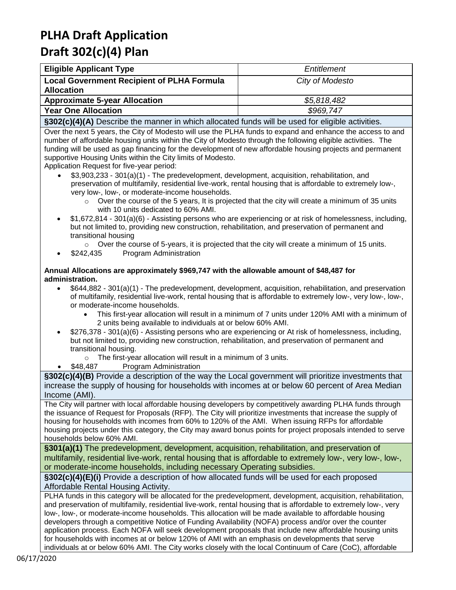| <b>Eligible Applicant Type</b>                                                                               | Entitlement     |  |  |  |
|--------------------------------------------------------------------------------------------------------------|-----------------|--|--|--|
| <b>Local Government Recipient of PLHA Formula</b><br><b>Allocation</b>                                       | City of Modesto |  |  |  |
| <b>Approximate 5-year Allocation</b>                                                                         | \$5,818,482     |  |  |  |
| <b>Year One Allocation</b>                                                                                   | \$969.747       |  |  |  |
| <b>COOOL MAYAY December the presentation of the effect of final continuities</b> and the effect the existing |                 |  |  |  |

**§302(c)(4)(A)** Describe the manner in which allocated funds will be used for eligible activities.

Over the next 5 years, the City of Modesto will use the PLHA funds to expand and enhance the access to and number of affordable housing units within the City of Modesto through the following eligible activities. The funding will be used as gap financing for the development of new affordable housing projects and permanent supportive Housing Units within the City limits of Modesto.

Application Request for five-year period:

- \$3,903,233 301(a)(1) The predevelopment, development, acquisition, rehabilitation, and preservation of multifamily, residential live-work, rental housing that is affordable to extremely low-, very low-, low-, or moderate-income households.
	- $\circ$  Over the course of the 5 years, It is projected that the city will create a minimum of 35 units with 10 units dedicated to 60% AMI.
- \$1,672,814 301(a)(6) Assisting persons who are experiencing or at risk of homelessness, including, but not limited to, providing new construction, rehabilitation, and preservation of permanent and transitional housing
	- $\circ$  Over the course of 5-years, it is projected that the city will create a minimum of 15 units.
- \$242,435 Program Administration

#### **Annual Allocations are approximately \$969,747 with the allowable amount of \$48,487 for administration.**

- \$644,882 301(a)(1) The predevelopment, development, acquisition, rehabilitation, and preservation of multifamily, residential live-work, rental housing that is affordable to extremely low-, very low-, low-, or moderate-income households.
	- This first-year allocation will result in a minimum of 7 units under 120% AMI with a minimum of 2 units being available to individuals at or below 60% AMI.
- \$276,378 301(a)(6) Assisting persons who are experiencing or At risk of homelessness, including, but not limited to, providing new construction, rehabilitation, and preservation of permanent and transitional housing.
	- $\circ$  The first-year allocation will result in a minimum of 3 units.
- \$48,487 Program Administration

**§302(c)(4)(B)** Provide a description of the way the Local government will prioritize investments that increase the supply of housing for households with incomes at or below 60 percent of Area Median Income (AMI).

The City will partner with local affordable housing developers by competitively awarding PLHA funds through the issuance of Request for Proposals (RFP). The City will prioritize investments that increase the supply of housing for households with incomes from 60% to 120% of the AMI. When issuing RFPs for affordable housing projects under this category, the City may award bonus points for project proposals intended to serve households below 60% AMI.

**§301(a)(1)** The predevelopment, development, acquisition, rehabilitation, and preservation of multifamily, residential live-work, rental housing that is affordable to extremely low-, very low-, low-, or moderate-income households, including necessary Operating subsidies.

**§302(c)(4)(E)(i)** Provide a description of how allocated funds will be used for each proposed Affordable Rental Housing Activity.

PLHA funds in this category will be allocated for the predevelopment, development, acquisition, rehabilitation, and preservation of multifamily, residential live-work, rental housing that is affordable to extremely low-, very low-, low-, or moderate-income households. This allocation will be made available to affordable housing developers through a competitive Notice of Funding Availability (NOFA) process and/or over the counter application process. Each NOFA will seek development proposals that include new affordable housing units for households with incomes at or below 120% of AMI with an emphasis on developments that serve individuals at or below 60% AMI. The City works closely with the local Continuum of Care (CoC), affordable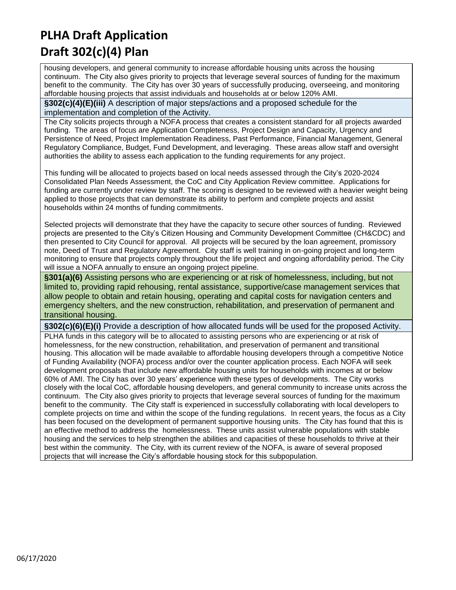housing developers, and general community to increase affordable housing units across the housing continuum. The City also gives priority to projects that leverage several sources of funding for the maximum benefit to the community. The City has over 30 years of successfully producing, overseeing, and monitoring affordable housing projects that assist individuals and households at or below 120% AMI.

**§302(c)(4)(E)(iii)** A description of major steps/actions and a proposed schedule for the implementation and completion of the Activity.

The City solicits projects through a NOFA process that creates a consistent standard for all projects awarded funding. The areas of focus are Application Completeness, Project Design and Capacity, Urgency and Persistence of Need, Project Implementation Readiness, Past Performance, Financial Management, General Regulatory Compliance, Budget, Fund Development, and leveraging. These areas allow staff and oversight authorities the ability to assess each application to the funding requirements for any project.

This funding will be allocated to projects based on local needs assessed through the City's 2020-2024 Consolidated Plan Needs Assessment, the CoC and City Application Review committee. Applications for funding are currently under review by staff. The scoring is designed to be reviewed with a heavier weight being applied to those projects that can demonstrate its ability to perform and complete projects and assist households within 24 months of funding commitments.

Selected projects will demonstrate that they have the capacity to secure other sources of funding. Reviewed projects are presented to the City's Citizen Housing and Community Development Committee (CH&CDC) and then presented to City Council for approval. All projects will be secured by the loan agreement, promissory note, Deed of Trust and Regulatory Agreement. City staff is well training in on-going project and long-term monitoring to ensure that projects comply throughout the life project and ongoing affordability period. The City will issue a NOFA annually to ensure an ongoing project pipeline.

**§301(a)(6)** Assisting persons who are experiencing or at risk of homelessness, including, but not limited to, providing rapid rehousing, rental assistance, supportive/case management services that allow people to obtain and retain housing, operating and capital costs for navigation centers and emergency shelters, and the new construction, rehabilitation, and preservation of permanent and transitional housing.

**§302(c)(6)(E)(i)** Provide a description of how allocated funds will be used for the proposed Activity. PLHA funds in this category will be to allocated to assisting persons who are experiencing or at risk of homelessness, for the new construction, rehabilitation, and preservation of permanent and transitional housing. This allocation will be made available to affordable housing developers through a competitive Notice of Funding Availability (NOFA) process and/or over the counter application process. Each NOFA will seek development proposals that include new affordable housing units for households with incomes at or below 60% of AMI. The City has over 30 years' experience with these types of developments. The City works closely with the local CoC, affordable housing developers, and general community to increase units across the continuum. The City also gives priority to projects that leverage several sources of funding for the maximum benefit to the community. The City staff is experienced in successfully collaborating with local developers to complete projects on time and within the scope of the funding regulations. In recent years, the focus as a City has been focused on the development of permanent supportive housing units. The City has found that this is an effective method to address the homelessness. These units assist vulnerable populations with stable housing and the services to help strengthen the abilities and capacities of these households to thrive at their best within the community. The City, with its current review of the NOFA, is aware of several proposed projects that will increase the City's affordable housing stock for this subpopulation.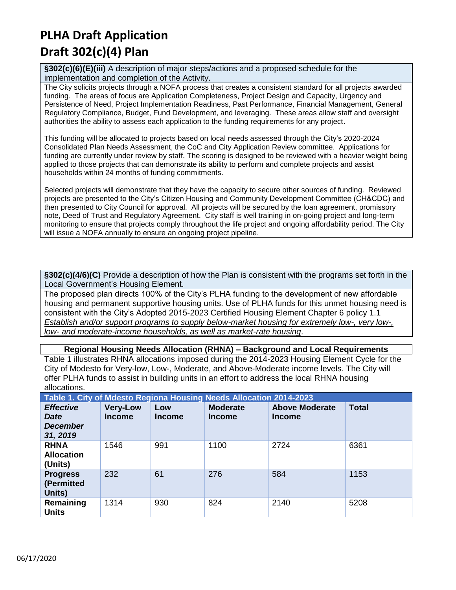**§302(c)(6)(E)(iii)** A description of major steps/actions and a proposed schedule for the implementation and completion of the Activity.

The City solicits projects through a NOFA process that creates a consistent standard for all projects awarded funding. The areas of focus are Application Completeness, Project Design and Capacity, Urgency and Persistence of Need, Project Implementation Readiness, Past Performance, Financial Management, General Regulatory Compliance, Budget, Fund Development, and leveraging. These areas allow staff and oversight authorities the ability to assess each application to the funding requirements for any project.

This funding will be allocated to projects based on local needs assessed through the City's 2020-2024 Consolidated Plan Needs Assessment, the CoC and City Application Review committee. Applications for funding are currently under review by staff. The scoring is designed to be reviewed with a heavier weight being applied to those projects that can demonstrate its ability to perform and complete projects and assist households within 24 months of funding commitments.

Selected projects will demonstrate that they have the capacity to secure other sources of funding. Reviewed projects are presented to the City's Citizen Housing and Community Development Committee (CH&CDC) and then presented to City Council for approval. All projects will be secured by the loan agreement, promissory note, Deed of Trust and Regulatory Agreement. City staff is well training in on-going project and long-term monitoring to ensure that projects comply throughout the life project and ongoing affordability period. The City will issue a NOFA annually to ensure an ongoing project pipeline.

**§302(c)(4/6)(C)** Provide a description of how the Plan is consistent with the programs set forth in the Local Government's Housing Element.

The proposed plan directs 100% of the City's PLHA funding to the development of new affordable housing and permanent supportive housing units. Use of PLHA funds for this unmet housing need is consistent with the City's Adopted 2015-2023 Certified Housing Element Chapter 6 policy 1.1 *Establish and/or support programs to supply below-market housing for extremely low-, very low-, low- and moderate-income households, as well as market-rate housing*.

**Regional Housing Needs Allocation (RHNA) – Background and Local Requirements**

Table 1 illustrates RHNA allocations imposed during the 2014-2023 Housing Element Cycle for the City of Modesto for Very-low, Low-, Moderate, and Above-Moderate income levels. The City will offer PLHA funds to assist in building units in an effort to address the local RHNA housing allocations.

| Table 1. City of Mdesto Regiona Housing Needs Allocation 2014-2023 |                                  |                      |                                  |                                        |              |  |
|--------------------------------------------------------------------|----------------------------------|----------------------|----------------------------------|----------------------------------------|--------------|--|
| <b>Effective</b><br><b>Date</b><br><b>December</b><br>31, 2019     | <b>Very-Low</b><br><b>Income</b> | Low<br><b>Income</b> | <b>Moderate</b><br><b>Income</b> | <b>Above Moderate</b><br><b>Income</b> | <b>Total</b> |  |
| <b>RHNA</b><br><b>Allocation</b><br>(Units)                        | 1546                             | 991                  | 1100                             | 2724                                   | 6361         |  |
| <b>Progress</b><br>(Permitted<br>Units)                            | 232                              | 61                   | 276                              | 584                                    | 1153         |  |
| Remaining<br><b>Units</b>                                          | 1314                             | 930                  | 824                              | 2140                                   | 5208         |  |